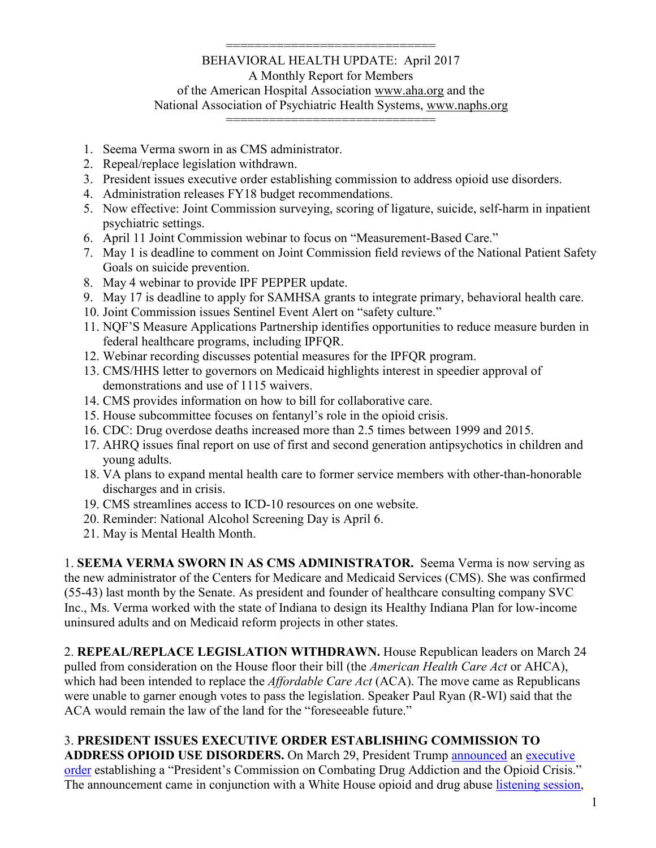#### ============================= BEHAVIORAL HEALTH UPDATE: April 2017 A Monthly Report for Members of the American Hospital Association [www.aha.org](http://www.aha.org/) and the National Association of Psychiatric Health Systems, [www.naphs.org](http://www.naphs.org/)

=============================

- 1. Seema Verma sworn in as CMS administrator.
- 2. Repeal/replace legislation withdrawn.
- 3. President issues executive order establishing commission to address opioid use disorders.
- 4. Administration releases FY18 budget recommendations.
- 5. Now effective: Joint Commission surveying, scoring of ligature, suicide, self-harm in inpatient psychiatric settings.
- 6. April 11 Joint Commission webinar to focus on "Measurement-Based Care."
- 7. May 1 is deadline to comment on Joint Commission field reviews of the National Patient Safety Goals on suicide prevention.
- 8. May 4 webinar to provide IPF PEPPER update.
- 9. May 17 is deadline to apply for SAMHSA grants to integrate primary, behavioral health care.
- 10. Joint Commission issues Sentinel Event Alert on "safety culture."
- 11. NQF'S Measure Applications Partnership identifies opportunities to reduce measure burden in federal healthcare programs, including IPFQR.
- 12. Webinar recording discusses potential measures for the IPFQR program.
- 13. CMS/HHS letter to governors on Medicaid highlights interest in speedier approval of demonstrations and use of 1115 waivers.
- 14. CMS provides information on how to bill for collaborative care.
- 15. House subcommittee focuses on fentanyl's role in the opioid crisis.
- 16. CDC: Drug overdose deaths increased more than 2.5 times between 1999 and 2015.
- 17. AHRQ issues final report on use of first and second generation antipsychotics in children and young adults.
- 18. VA plans to expand mental health care to former service members with other-than-honorable discharges and in crisis.
- 19. CMS streamlines access to ICD-10 resources on one website.
- 20. Reminder: National Alcohol Screening Day is April 6.
- 21. May is Mental Health Month.

1. **SEEMA VERMA SWORN IN AS CMS ADMINISTRATOR.** Seema Verma is now serving as the new administrator of the Centers for Medicare and Medicaid Services (CMS). She was confirmed (55-43) last month by the Senate. As president and founder of healthcare consulting company SVC Inc., Ms. Verma worked with the state of Indiana to design its Healthy Indiana Plan for low-income uninsured adults and on Medicaid reform projects in other states.

2. **REPEAL/REPLACE LEGISLATION WITHDRAWN.** House Republican leaders on March 24 pulled from consideration on the House floor their bill (the *American Health Care Act* or AHCA), which had been intended to replace the *Affordable Care Act* (ACA). The move came as Republicans were unable to garner enough votes to pass the legislation. Speaker Paul Ryan (R-WI) said that the ACA would remain the law of the land for the "foreseeable future."

# 3. **PRESIDENT ISSUES EXECUTIVE ORDER ESTABLISHING COMMISSION TO**

**ADDRESS OPIOID USE DISORDERS.** On March 29, President Trump [announced](https://www.whitehouse.gov/the-press-office/2017/03/30/president-donald-j-trump-signs-executive-order-establishing-presidents) an [executive](https://www.whitehouse.gov/the-press-office/2017/03/30/presidential-executive-order-establishing-presidents-commission)  [order](https://www.whitehouse.gov/the-press-office/2017/03/30/presidential-executive-order-establishing-presidents-commission) establishing a "President's Commission on Combating Drug Addiction and the Opioid Crisis." The announcement came in conjunction with a White House opioid and drug abuse [listening session,](https://www.whitehouse.gov/featured-videos/video/2017/03/29/president-trump-hosts-opioid-and-drug-abuse-listening-session)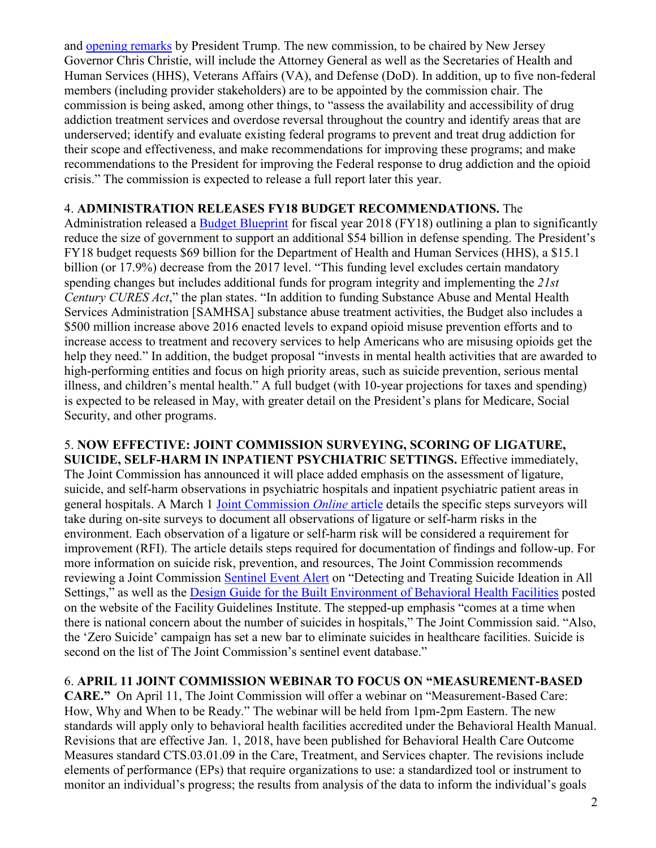and [opening remarks](https://www.whitehouse.gov/the-press-office/2017/03/29/remarks-president-trump-listening-session-opioids-and-drug-abuse) by President Trump. The new commission, to be chaired by New Jersey Governor Chris Christie, will include the Attorney General as well as the Secretaries of Health and Human Services (HHS), Veterans Affairs (VA), and Defense (DoD). In addition, up to five non-federal members (including provider stakeholders) are to be appointed by the commission chair. The commission is being asked, among other things, to "assess the availability and accessibility of drug addiction treatment services and overdose reversal throughout the country and identify areas that are underserved; identify and evaluate existing federal programs to prevent and treat drug addiction for their scope and effectiveness, and make recommendations for improving these programs; and make recommendations to the President for improving the Federal response to drug addiction and the opioid crisis." The commission is expected to release a full report later this year.

### 4. **ADMINISTRATION RELEASES FY18 BUDGET RECOMMENDATIONS.** The

Administration released a [Budget Blueprint](https://www.whitehouse.gov/sites/whitehouse.gov/files/omb/budget/fy2018/2018_blueprint.pdf) for fiscal year 2018 (FY18) outlining a plan to significantly reduce the size of government to support an additional \$54 billion in defense spending. The President's FY18 budget requests \$69 billion for the Department of Health and Human Services (HHS), a \$15.1 billion (or 17.9%) decrease from the 2017 level. "This funding level excludes certain mandatory spending changes but includes additional funds for program integrity and implementing the *21st Century CURES Act*," the plan states. "In addition to funding Substance Abuse and Mental Health Services Administration [SAMHSA] substance abuse treatment activities, the Budget also includes a \$500 million increase above 2016 enacted levels to expand opioid misuse prevention efforts and to increase access to treatment and recovery services to help Americans who are misusing opioids get the help they need." In addition, the budget proposal "invests in mental health activities that are awarded to high-performing entities and focus on high priority areas, such as suicide prevention, serious mental illness, and children's mental health." A full budget (with 10-year projections for taxes and spending) is expected to be released in May, with greater detail on the President's plans for Medicare, Social Security, and other programs.

5. **NOW EFFECTIVE: JOINT COMMISSION SURVEYING, SCORING OF LIGATURE, SUICIDE, SELF-HARM IN INPATIENT PSYCHIATRIC SETTINGS.** Effective immediately, The Joint Commission has announced it will place added emphasis on the assessment of ligature, suicide, and self-harm observations in psychiatric hospitals and inpatient psychiatric patient areas in general hospitals. A March 1 [Joint Commission](https://www.jointcommission.org/assets/1/23/JC_Online_March_11.PDF) *Online* article details the specific steps surveyors will take during on-site surveys to document all observations of ligature or self-harm risks in the environment. Each observation of a ligature or self-harm risk will be considered a requirement for improvement (RFI). The article details steps required for documentation of findings and follow-up. For more information on suicide risk, prevention, and resources, The Joint Commission recommends reviewing a Joint Commission [Sentinel Event Alert](https://www.jointcommission.org/sea_issue_56/) on "Detecting and Treating Suicide Ideation in All Settings," as well as the [Design Guide for the Built Environment of Behavioral Health Facilities](https://www.fgiguidelines.org/resource/design-guide-built-environment-behavioral-health-facilities/) posted on the website of the Facility Guidelines Institute. The stepped-up emphasis "comes at a time when there is national concern about the number of suicides in hospitals," The Joint Commission said. "Also, the 'Zero Suicide' campaign has set a new bar to eliminate suicides in healthcare facilities. Suicide is second on the list of The Joint Commission's sentinel event database."

### 6. **APRIL 11 JOINT COMMISSION WEBINAR TO FOCUS ON "MEASUREMENT-BASED**

**CARE."** On April 11, The Joint Commission will offer a webinar on "Measurement-Based Care: How, Why and When to be Ready." The webinar will be held from 1pm-2pm Eastern. The new standards will apply only to behavioral health facilities accredited under the Behavioral Health Manual. Revisions that are effective Jan. 1, 2018, have been published for Behavioral Health Care Outcome Measures standard CTS.03.01.09 in the Care, Treatment, and Services chapter. The revisions include elements of performance (EPs) that require organizations to use: a standardized tool or instrument to monitor an individual's progress; the results from analysis of the data to inform the individual's goals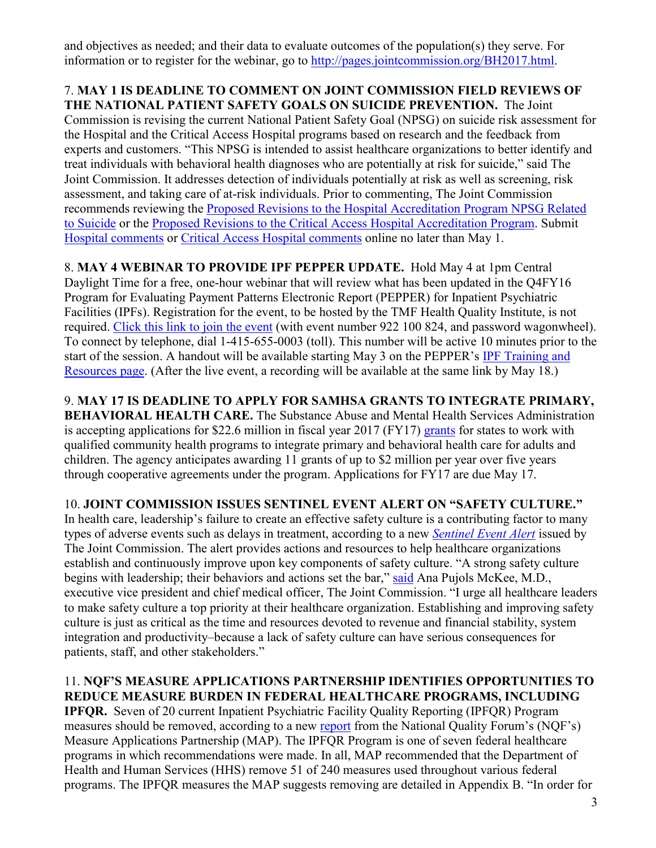and objectives as needed; and their data to evaluate outcomes of the population(s) they serve. For information or to register for the webinar, go to [http://pages.jointcommission.org/BH2017.html.](http://pages.jointcommission.org/BH2017.html)

### 7. **MAY 1 IS DEADLINE TO COMMENT ON JOINT COMMISSION FIELD REVIEWS OF THE NATIONAL PATIENT SAFETY GOALS ON SUICIDE PREVENTION.** The Joint

Commission is revising the current National Patient Safety Goal (NPSG) on suicide risk assessment for the Hospital and the Critical Access Hospital programs based on research and the feedback from experts and customers. "This NPSG is intended to assist healthcare organizations to better identify and treat individuals with behavioral health diagnoses who are potentially at risk for suicide," said The Joint Commission. It addresses detection of individuals potentially at risk as well as screening, risk assessment, and taking care of at-risk individuals. Prior to commenting, The Joint Commission recommends reviewing the [Proposed Revisions to the Hospital Accreditation Program NPSG Related](https://jointcommission.az1.qualtrics.com/CP/File.php?F=F_bEpZ8kvdeqUYRGB)  [to Suicide](https://jointcommission.az1.qualtrics.com/CP/File.php?F=F_bEpZ8kvdeqUYRGB) or the [Proposed Revisions to the Critical Access Hospital Accreditation Program.](https://jointcommission.az1.qualtrics.com/CP/File.php?F=F_0VeP8iefH0l96BL) Submit [Hospital comments](http://jointcommission.az1.qualtrics.com/jfe/form/SV_9FzxnMxem3AjXQV) or [Critical Access Hospital comments](http://jointcommission.az1.qualtrics.com/SE/?SID=SV_3vXvgzkZHyYGpUx&Q_JFE=0) online no later than May 1.

8. **MAY 4 WEBINAR TO PROVIDE IPF PEPPER UPDATE.** Hold May 4 at 1pm Central Daylight Time for a free, one-hour webinar that will review what has been updated in the Q4FY16 Program for Evaluating Payment Patterns Electronic Report (PEPPER) for Inpatient Psychiatric Facilities (IPFs). Registration for the event, to be hosted by the TMF Health Quality Institute, is not required. [Click this link to join the event](http://r20.rs6.net/tn.jsp?f=001UeUQbE3HWRN8D9b-0llsPBNzHZ4FERRP8md6zV4b3A178JmEM7oUKtyEPpPynXhJD-VgJn4FwMD5rTQTglii4N4XingncSYpd4j0kI9kgAhdNsrcXEj0nQhwvUIilZ_sa8acbYNWvt7NQfaDTUTyWmpKlvEdmTUxybthqWnwt6QD_OirUaNAerh82JsxPwEksCfXklj07f47KgDEVdck3ML-wZ5PZRM3RRlrPng1V5O215EqED31mA==&c=oiw5EjobMk1_n7UGeyNDcUGpmSh9sT6dBW9H8IjEEfgyQ12-xiCsXA==&ch=YvqkiEeiLLMjAILwsKw1ZWvcvRzkXksLYx7KT5SIhMbgvzL30yCIOQ==) (with event number 922 100 824, and password wagonwheel). To connect by telephone, dial 1-415-655-0003 (toll). This number will be active 10 minutes prior to the start of the session. A handout will be available starting May 3 on the PEPPER's [IPF Training and](http://r20.rs6.net/tn.jsp?f=001UeUQbE3HWRN8D9b-0llsPBNzHZ4FERRP8md6zV4b3A178JmEM7oUKtyEPpPynXhJmyQ4JPpG-PqVw5ouUY_IoW8FTF6_EcBb8-s798gbuIVtfrQqMH2n0WXuxzzOUY0nUSk8iiIDp6aoM8uCSzTm1gkrURQ0feOdi34vvP2IBJpXlpSQ_Pz6S5FgGBr3ur6Fqe_Q8Z70uqtqK9fH3SemIAzyIMJfjtrcqE6_fHy0y_0=&c=oiw5EjobMk1_n7UGeyNDcUGpmSh9sT6dBW9H8IjEEfgyQ12-xiCsXA==&ch=YvqkiEeiLLMjAILwsKw1ZWvcvRzkXksLYx7KT5SIhMbgvzL30yCIOQ==)  [Resources page.](http://r20.rs6.net/tn.jsp?f=001UeUQbE3HWRN8D9b-0llsPBNzHZ4FERRP8md6zV4b3A178JmEM7oUKtyEPpPynXhJmyQ4JPpG-PqVw5ouUY_IoW8FTF6_EcBb8-s798gbuIVtfrQqMH2n0WXuxzzOUY0nUSk8iiIDp6aoM8uCSzTm1gkrURQ0feOdi34vvP2IBJpXlpSQ_Pz6S5FgGBr3ur6Fqe_Q8Z70uqtqK9fH3SemIAzyIMJfjtrcqE6_fHy0y_0=&c=oiw5EjobMk1_n7UGeyNDcUGpmSh9sT6dBW9H8IjEEfgyQ12-xiCsXA==&ch=YvqkiEeiLLMjAILwsKw1ZWvcvRzkXksLYx7KT5SIhMbgvzL30yCIOQ==) (After the live event, a recording will be available at the same link by May 18.)

9. **MAY 17 IS DEADLINE TO APPLY FOR SAMHSA GRANTS TO INTEGRATE PRIMARY, BEHAVIORAL HEALTH CARE.** The Substance Abuse and Mental Health Services Administration is accepting applications for \$22.6 million in fiscal year 2017 (FY17) [grants](https://www.samhsa.gov/newsroom/press-announcements/201703231100) for states to work with qualified community health programs to integrate primary and behavioral health care for adults and children. The agency anticipates awarding 11 grants of up to \$2 million per year over five years through cooperative agreements under the program. Applications for FY17 are due May 17.

# 10. **JOINT COMMISSION ISSUES SENTINEL EVENT ALERT ON "SAFETY CULTURE."**

In health care, leadership's failure to create an effective safety culture is a contributing factor to many types of adverse events such as delays in treatment, according to a new *[Sentinel Event Alert](https://www.jointcommission.org/sea_issue_57/)* issued by The Joint Commission. The alert provides actions and resources to help healthcare organizations establish and continuously improve upon key components of safety culture. "A strong safety culture begins with leadership; their behaviors and actions set the bar," [said](https://www.jointcommission.org/sentinel_event_alert_on_safety_culture/) Ana Pujols McKee, M.D., executive vice president and chief medical officer, The Joint Commission. "I urge all healthcare leaders to make safety culture a top priority at their healthcare organization. Establishing and improving safety culture is just as critical as the time and resources devoted to revenue and financial stability, system integration and productivity–because a lack of safety culture can have serious consequences for patients, staff, and other stakeholders."

### 11. **NQF'S MEASURE APPLICATIONS PARTNERSHIP IDENTIFIES OPPORTUNITIES TO REDUCE MEASURE BURDEN IN FEDERAL HEALTHCARE PROGRAMS, INCLUDING**

**IPFQR.** Seven of 20 current Inpatient Psychiatric Facility Quality Reporting (IPFQR) Program measures should be removed, according to a new [report](http://www.qualityforum.org/Publications/2017/03/Maximizing_the_Value_of_Measurement__MAP_2017_Guidance.aspx) from the National Quality Forum's (NQF's) Measure Applications Partnership (MAP). The IPFQR Program is one of seven federal healthcare programs in which recommendations were made. In all, MAP recommended that the Department of Health and Human Services (HHS) remove 51 of 240 measures used throughout various federal programs. The IPFQR measures the MAP suggests removing are detailed in Appendix B. "In order for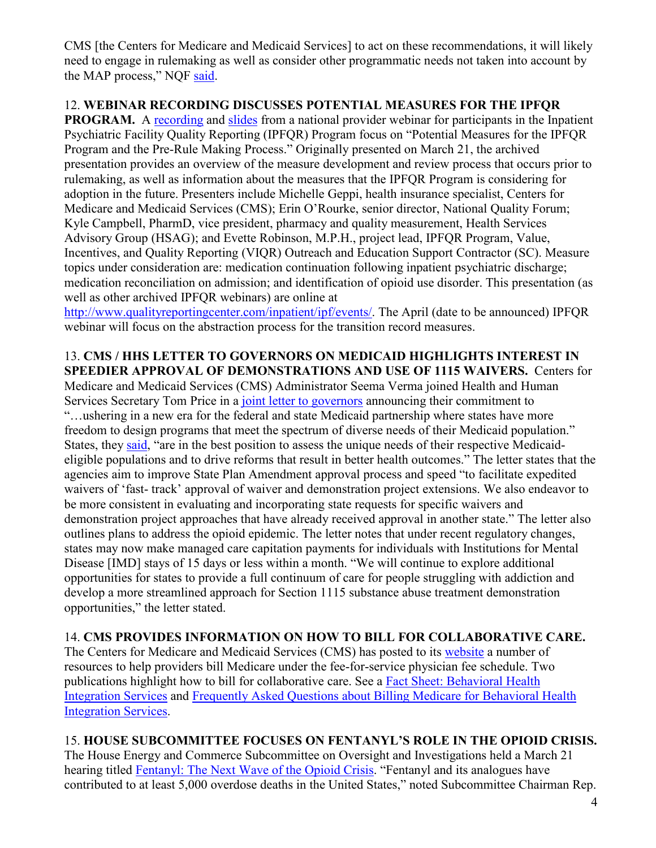CMS [the Centers for Medicare and Medicaid Services] to act on these recommendations, it will likely need to engage in rulemaking as well as consider other programmatic needs not taken into account by the MAP process," NQF [said.](http://www.qualityforum.org/News_And_Resources/Press_Releases/2017/NQF_s_Measure_Applications_Partnership_Identifies_Opportunities_to_Reduce__Measure_Burden_in_Federal_Healthcare_Programs.aspx)

### 12. **WEBINAR RECORDING DISCUSSES POTENTIAL MEASURES FOR THE IPFQR**

**PROGRAM.** A [recording](http://www.qualityreportingcenter.com/wp-content/uploads/2017/03/IPF-3.21.17-Map-MUC-all-pre-record.slide-correctionswoinro.mp4) and [slides](http://www.qualityreportingcenter.com/wp-content/uploads/2017/03/IPF_PreRulemkgWebinar_Slides_20170310_vFINAL508.wointro.cr_.pdf) from a national provider webinar for participants in the Inpatient Psychiatric Facility Quality Reporting (IPFQR) Program focus on "Potential Measures for the IPFQR Program and the Pre-Rule Making Process." Originally presented on March 21, the archived presentation provides an overview of the measure development and review process that occurs prior to rulemaking, as well as information about the measures that the IPFQR Program is considering for adoption in the future. Presenters include Michelle Geppi, health insurance specialist, Centers for Medicare and Medicaid Services (CMS); Erin O'Rourke, senior director, National Quality Forum; Kyle Campbell, PharmD, vice president, pharmacy and quality measurement, Health Services Advisory Group (HSAG); and Evette Robinson, M.P.H., project lead, IPFQR Program, Value, Incentives, and Quality Reporting (VIQR) Outreach and Education Support Contractor (SC). Measure topics under consideration are: medication continuation following inpatient psychiatric discharge; medication reconciliation on admission; and identification of opioid use disorder. This presentation (as well as other archived IPFQR webinars) are online at

[http://www.qualityreportingcenter.com/inpatient/ipf/events/.](http://www.qualityreportingcenter.com/inpatient/ipf/events/) The April (date to be announced) IPFQR webinar will focus on the abstraction process for the transition record measures.

### 13. **CMS / HHS LETTER TO GOVERNORS ON MEDICAID HIGHLIGHTS INTEREST IN SPEEDIER APPROVAL OF DEMONSTRATIONS AND USE OF 1115 WAIVERS.** Centers for

Medicare and Medicaid Services (CMS) Administrator Seema Verma joined Health and Human Services Secretary Tom Price in a [joint letter to governors](https://www.hhs.gov/sites/default/files/sec-price-cms-admin-verma-ltr.pdf) announcing their commitment to "…ushering in a new era for the federal and state Medicaid partnership where states have more freedom to design programs that meet the spectrum of diverse needs of their Medicaid population." States, they [said,](https://www.hhs.gov/about/news/2017/03/14/secretary-price-and-cms-administrator-verma-take-first-joint-action.html) "are in the best position to assess the unique needs of their respective Medicaideligible populations and to drive reforms that result in better health outcomes." The letter states that the agencies aim to improve State Plan Amendment approval process and speed "to facilitate expedited waivers of 'fast- track' approval of waiver and demonstration project extensions. We also endeavor to be more consistent in evaluating and incorporating state requests for specific waivers and demonstration project approaches that have already received approval in another state." The letter also outlines plans to address the opioid epidemic. The letter notes that under recent regulatory changes, states may now make managed care capitation payments for individuals with Institutions for Mental Disease [IMD] stays of 15 days or less within a month. "We will continue to explore additional opportunities for states to provide a full continuum of care for people struggling with addiction and develop a more streamlined approach for Section 1115 substance abuse treatment demonstration opportunities," the letter stated.

# 14. **CMS PROVIDES INFORMATION ON HOW TO BILL FOR COLLABORATIVE CARE.**

The Centers for Medicare and Medicaid Services (CMS) has posted to its [website](http://www.cms.gov/Medicare/Medicare-Fee-for-Service-Payment/PhysicianFeeSched/Care-Management.html) a number of resources to help providers bill Medicare under the fee-for-service physician fee schedule. Two publications highlight how to bill for collaborative care. See a [Fact Sheet: Behavioral Health](https://www.cms.gov/Medicare/Medicare-Fee-for-Service-Payment/PhysicianFeeSched/Downloads/Behavioral-Health-Integration-Fact-Sheet.pdf)  [Integration Services](https://www.cms.gov/Medicare/Medicare-Fee-for-Service-Payment/PhysicianFeeSched/Downloads/Behavioral-Health-Integration-Fact-Sheet.pdf) and [Frequently Asked Questions about Billing Medicare for Behavioral Health](https://www.cms.gov/Medicare/Medicare-Fee-for-Service-Payment/PhysicianFeeSched/Downloads/Behavioral-Health-Integration-FAQs.pdf)  [Integration Services.](https://www.cms.gov/Medicare/Medicare-Fee-for-Service-Payment/PhysicianFeeSched/Downloads/Behavioral-Health-Integration-FAQs.pdf)

# 15. **HOUSE SUBCOMMITTEE FOCUSES ON FENTANYL'S ROLE IN THE OPIOID CRISIS.**

The House Energy and Commerce Subcommittee on Oversight and Investigations held a March 21 hearing titled [Fentanyl: The Next Wave of the Opioid Crisis.](https://energycommerce.house.gov/hearings-and-votes/hearings/fentanyl-next-wave-opioid-crisis) "Fentanyl and its analogues have contributed to at least 5,000 overdose deaths in the United States," noted Subcommittee Chairman Rep.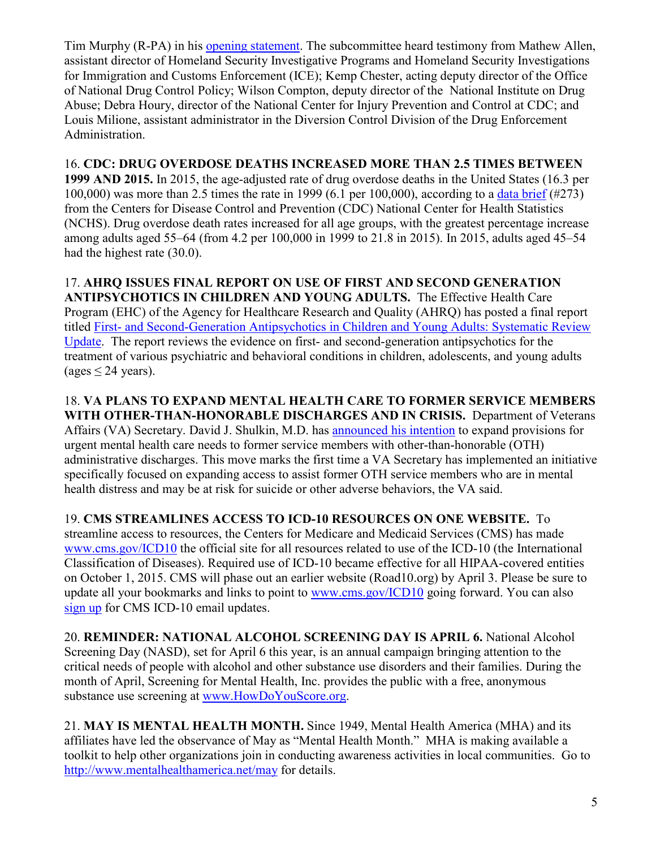Tim Murphy (R-PA) in his [opening statement.](http://docs.house.gov/meetings/IF/IF02/20170321/105739/HHRG-115-IF02-MState-M001151-20170321.pdf) The subcommittee heard testimony from Mathew Allen, assistant director of Homeland Security Investigative Programs and Homeland Security Investigations for Immigration and Customs Enforcement (ICE); Kemp Chester, acting deputy director of the Office of National Drug Control Policy; Wilson Compton, deputy director of the National Institute on Drug Abuse; Debra Houry, director of the National Center for Injury Prevention and Control at CDC; and Louis Milione, assistant administrator in the Diversion Control Division of the Drug Enforcement Administration.

16. **CDC: DRUG OVERDOSE DEATHS INCREASED MORE THAN 2.5 TIMES BETWEEN 1999 AND 2015.** In 2015, the age-adjusted rate of drug overdose deaths in the United States (16.3 per 100,000) was more than 2.5 times the rate in 1999 (6.1 per 100,000), according to a [data brief](https://www.cdc.gov/nchs/data/databriefs/db273.pdf) (#273) from the Centers for Disease Control and Prevention (CDC) National Center for Health Statistics (NCHS). Drug overdose death rates increased for all age groups, with the greatest percentage increase among adults aged 55–64 (from 4.2 per 100,000 in 1999 to 21.8 in 2015). In 2015, adults aged 45–54 had the highest rate (30.0).

17. **AHRQ ISSUES FINAL REPORT ON USE OF FIRST AND SECOND GENERATION ANTIPSYCHOTICS IN CHILDREN AND YOUNG ADULTS.** The Effective Health Care Program (EHC) of the Agency for Healthcare Research and Quality (AHRQ) has posted a final report titled First- [and Second-Generation Antipsychotics in Children and Young Adults: Systematic Review](http://www.effectivehealthcare.ahrq.gov/index.cfm/search-for-guides-reviews-and-reports/?pageaction=displayproduct&productid=2437)  [Update.](http://www.effectivehealthcare.ahrq.gov/index.cfm/search-for-guides-reviews-and-reports/?pageaction=displayproduct&productid=2437) The report reviews the evidence on first- and second-generation antipsychotics for the treatment of various psychiatric and behavioral conditions in children, adolescents, and young adults (ages  $\leq$  24 years).

18. **VA PLANS TO EXPAND MENTAL HEALTH CARE TO FORMER SERVICE MEMBERS WITH OTHER-THAN-HONORABLE DISCHARGES AND IN CRISIS.** Department of Veterans Affairs (VA) Secretary. David J. Shulkin, M.D. has [announced his intention](https://www.va.gov/opa/pressrel/pressrelease.cfm?id=2867) to expand provisions for urgent mental health care needs to former service members with other-than-honorable (OTH) administrative discharges. This move marks the first time a VA Secretary has implemented an initiative specifically focused on expanding access to assist former OTH service members who are in mental health distress and may be at risk for suicide or other adverse behaviors, the VA said.

19. **CMS STREAMLINES ACCESS TO ICD-10 RESOURCES ON ONE WEBSITE.** To streamline access to resources, the Centers for Medicare and Medicaid Services (CMS) has made [www.cms.gov/ICD10](http://www.cms.gov/ICD10) the official site for all resources related to use of the ICD-10 (the International Classification of Diseases). Required use of ICD-10 became effective for all HIPAA-covered entities on October 1, 2015. CMS will phase out an earlier website (Road10.org) by April 3. Please be sure to update all your bookmarks and links to point to [www.cms.gov/ICD10](http://www.cms.gov/ICD10) going forward. You can also [sign up](https://www.cms.gov/Medicare/Coding/ICD10/CMS_ICD-10_Industry_Email_Updates.html) for CMS ICD-10 email updates.

20. **REMINDER: NATIONAL ALCOHOL SCREENING DAY IS APRIL 6.** National Alcohol Screening Day (NASD), set for April 6 this year, is an annual campaign bringing attention to the critical needs of people with alcohol and other substance use disorders and their families. During the month of April, Screening for Mental Health, Inc. provides the public with a free, anonymous substance use screening at [www.HowDoYouScore.org.](http://www.howdoyouscore.org/)

21. **MAY IS MENTAL HEALTH MONTH.** Since 1949, Mental Health America (MHA) and its affiliates have led the observance of May as "Mental Health Month." MHA is making available a toolkit to help other organizations join in conducting awareness activities in local communities. Go to <http://www.mentalhealthamerica.net/may> for details.